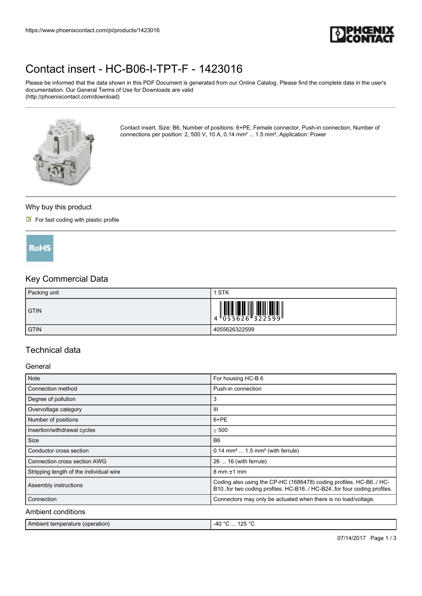

# [Contact insert - HC-B06-I-TPT-F - 1423016](https://www.phoenixcontact.com/pi/products/1423016)

Please be informed that the data shown in this PDF Document is generated from our Online Catalog. Please find the complete data in the user's documentation. Our General Terms of Use for Downloads are valid (http://phoenixcontact.com/download)



Contact insert, Size: B6, Number of positions: 6+PE, Female connector, Push-in connection, Number of connections per position: 2, 500 V, 10 A, 0.14 mm² ... 1.5 mm², Application: Power

### Why buy this product

## $\blacksquare$  For fast coding with plastic profile



# Key Commercial Data

| Packing unit | STK                                                                                                                                                                                                                                                                                                                         |
|--------------|-----------------------------------------------------------------------------------------------------------------------------------------------------------------------------------------------------------------------------------------------------------------------------------------------------------------------------|
| <b>GTIN</b>  | $\begin{array}{c} 1 & 0 & 0 & 0 \\ 0 & 0 & 0 & 0 & 0 \\ 0 & 0 & 0 & 0 & 0 \\ 0 & 0 & 0 & 0 & 0 \\ 0 & 0 & 0 & 0 & 0 \\ 0 & 0 & 0 & 0 & 0 \\ 0 & 0 & 0 & 0 & 0 \\ 0 & 0 & 0 & 0 & 0 \\ 0 & 0 & 0 & 0 & 0 \\ 0 & 0 & 0 & 0 & 0 \\ 0 & 0 & 0 & 0 & 0 & 0 \\ 0 & 0 & 0 & 0 & 0 & 0 \\ 0 & 0 & 0 & 0 & 0 & 0 \\ 0 & 0 & 0 & 0 &$ |
| <b>GTIN</b>  | 4055626322599                                                                                                                                                                                                                                                                                                               |

## Technical data

## General

| <b>Note</b>                             | For housing HC-B 6                                                                                                                            |
|-----------------------------------------|-----------------------------------------------------------------------------------------------------------------------------------------------|
| Connection method                       | Push-in connection                                                                                                                            |
| Degree of pollution                     | 3                                                                                                                                             |
| Overvoltage category                    | Ш                                                                                                                                             |
| Number of positions                     | 6+PE                                                                                                                                          |
| Insertion/withdrawal cycles             | > 500                                                                                                                                         |
| Size                                    | B <sub>6</sub>                                                                                                                                |
| Conductor cross section                 | $0.14$ mm <sup>2</sup> 1.5 mm <sup>2</sup> (with ferrule)                                                                                     |
| Connection cross section AWG            | 26  16 (with ferrule)                                                                                                                         |
| Stripping length of the individual wire | $8 \text{ mm} \pm 1 \text{ mm}$                                                                                                               |
| Assembly instructions                   | Coding also using the CP-HC (1686478) coding profiles. HC-B6./ HC-<br>B10. for two coding profiles. HC-B16/ HC-B24. for four coding profiles. |
| Connection                              | Connectors may only be actuated when there is no load/voltage.                                                                                |
| Ambient conditions                      |                                                                                                                                               |

| Ambient temperature (operation) | 125 ° <sup>∩</sup><br>. -40 $^{\circ}$<br>. |
|---------------------------------|---------------------------------------------|
|---------------------------------|---------------------------------------------|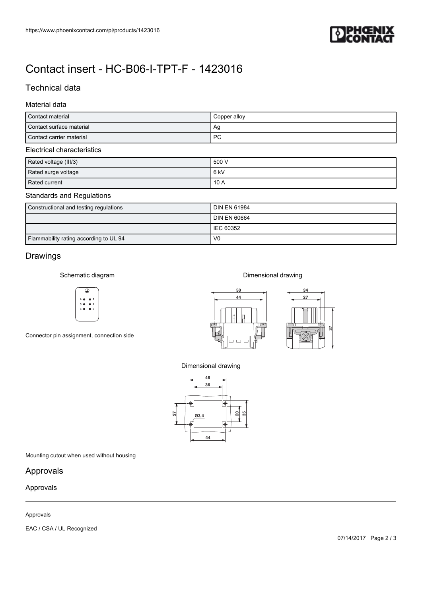

# [Contact insert - HC-B06-I-TPT-F - 1423016](https://www.phoenixcontact.com/pi/products/1423016)

# Technical data

## Material data

| Contact material           | Copper alloy |  |  |
|----------------------------|--------------|--|--|
| Contact surface material   | Ag           |  |  |
| Contact carrier material   | <b>PC</b>    |  |  |
| Electrical characteristics |              |  |  |

#### ectrical characteristics

| Rated voltage (III/3) | 500 V |
|-----------------------|-------|
| Rated surge voltage   | 6 kV  |
| Rated current         | 10 A  |

## Standards and Regulations

| Constructional and testing regulations | <b>DIN EN 61984</b> |
|----------------------------------------|---------------------|
|                                        | <b>DIN EN 60664</b> |
|                                        | I IEC 60352         |
| Flammability rating according to UL 94 | V <sub>0</sub>      |

# Drawings

Schematic diagram



Connector pin assignment, connection side



Dimensional drawing



Dimensional drawing



Mounting cutout when used without housing

## Approvals

## Approvals

## Approvals

EAC / CSA / UL Recognized